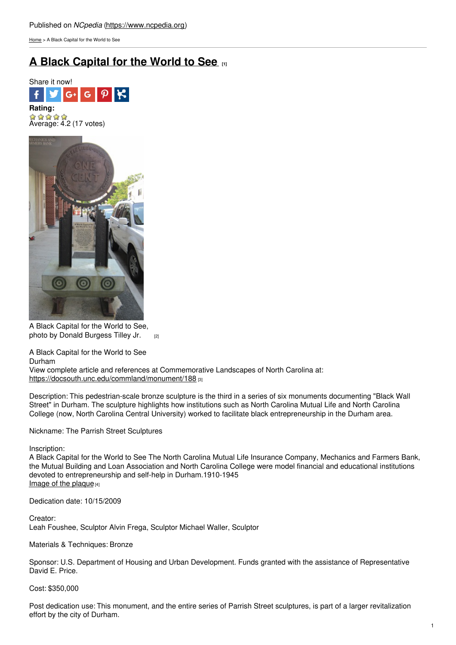[Home](https://www.ncpedia.org/) > A Black Capital for the World to See

## **A Black [Capital](https://www.ncpedia.org/monument/black-capital-world-see) for the World to See [1]**





A Black Capital for the World to See, photo by Donald [Burgess](https://docsouth.unc.edu/static/commland/monument/188_rep.jpg) Tilley Jr. [2]

A Black Capital for the World to See Durham

View complete article and references at Commemorative Landscapes of North Carolina at: <https://docsouth.unc.edu/commland/monument/188> [3]

Description: This pedestrian-scale bronze sculpture is the third in a series of six monuments documenting "Black Wall Street" in Durham. The sculpture highlights how institutions such as North Carolina Mutual Life and North Carolina College (now, North Carolina Central University) worked to facilitate black entrepreneurship in the Durham area.

Nickname: The Parrish Street Sculptures

Inscription:

A Black Capital for the World to See The North Carolina Mutual Life Insurance Company, Mechanics and Farmers Bank, the Mutual Building and Loan Association and North Carolina College were model financial and educational institutions devoted to entrepreneurship and self-help in Durham.1910-1945 Image of the [plaque](https://docsouth.unc.edu/static/commland/monument/188_inscription.jpg) $[4]$ 

Dedication date: 10/15/2009

Creator: Leah Foushee, Sculptor Alvin Frega, Sculptor Michael Waller, Sculptor

Materials & Techniques: Bronze

Sponsor: U.S. Department of Housing and Urban Development. Funds granted with the assistance of Representative David E. Price.

Cost: \$350,000

Post dedication use: This monument, and the entire series of Parrish Street sculptures, is part of a larger revitalization effort by the city of Durham.